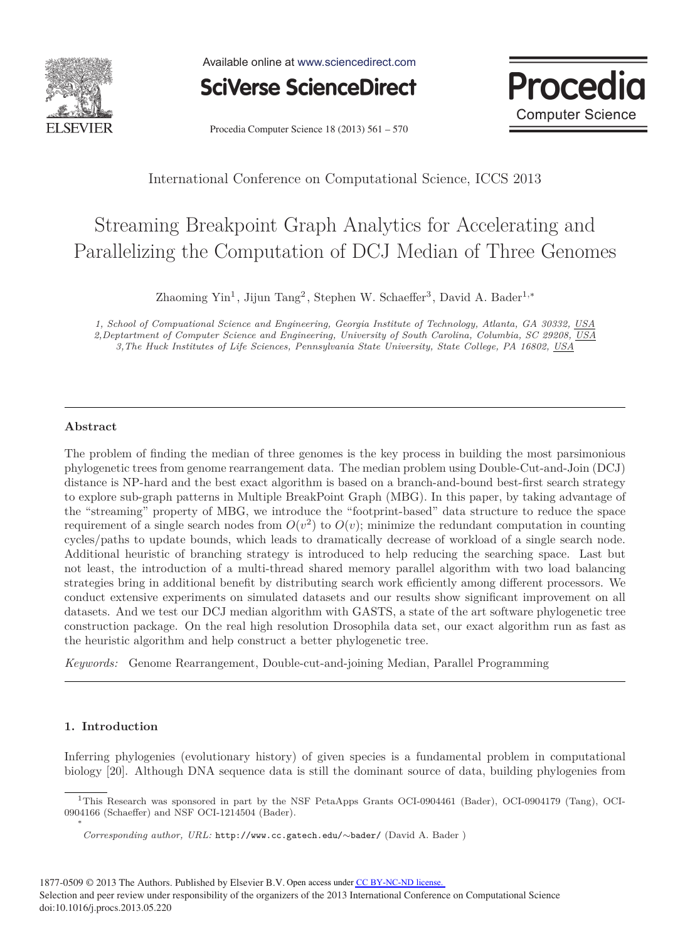

Available online at www.sciencedirect.com



Procedia Computer Science 18 (2013) 561 – 570



# International Conference on Computational Science, ICCS 2013

# Streaming Breakpoint Graph Analytics for Accelerating and Parallelizing the Computation of DCJ Median of Three Genomes

Zhaoming Yin<sup>1</sup>, Jijun Tang<sup>2</sup>, Stephen W. Schaeffer<sup>3</sup>, David A. Bader<sup>1,\*</sup>

*1, School of Compuational Science and Engineering, Georgia Institute of Technology, Atlanta, GA 30332, USA 2,Deptartment of Computer Science and Engineering, University of South Carolina, Columbia, SC 29208, USA 3,The Huck Institutes of Life Sciences, Pennsylvania State University, State College, PA 16802, USA*

# **Abstract**

The problem of finding the median of three genomes is the key process in building the most parsimonious phylogenetic trees from genome rearrangement data. The median problem using Double-Cut-and-Join (DCJ) distance is NP-hard and the best exact algorithm is based on a branch-and-bound best-first search strategy to explore sub-graph patterns in Multiple BreakPoint Graph (MBG). In this paper, by taking advantage of the "streaming" property of MBG, we introduce the "footprint-based" data structure to reduce the space requirement of a single search nodes from  $O(v^2)$  to  $O(v)$ ; minimize the redundant computation in counting cycles/paths to update bounds, which leads to dramatically decrease of workload of a single search node. Additional heuristic of branching strategy is introduced to help reducing the searching space. Last but not least, the introduction of a multi-thread shared memory parallel algorithm with two load balancing strategies bring in additional benefit by distributing search work efficiently among different processors. We conduct extensive experiments on simulated datasets and our results show significant improvement on all datasets. And we test our DCJ median algorithm with GASTS, a state of the art software phylogenetic tree construction package. On the real high resolution Drosophila data set, our exact algorithm run as fast as the heuristic algorithm and help construct a better phylogenetic tree.

*Keywords:* Genome Rearrangement, Double-cut-and-joining Median, Parallel Programming

# **1. Introduction**

∗

Inferring phylogenies (evolutionary history) of given species is a fundamental problem in computational biology [20]. Although DNA sequence data is still the dominant source of data, building phylogenies from

<sup>1</sup>This Research was sponsored in part by the NSF PetaApps Grants OCI-0904461 (Bader), OCI-0904179 (Tang), OCI-0904166 (Schaeffer) and NSF OCI-1214504 (Bader).

*Corresponding author, URL:* http://www.cc.gatech.edu/∼bader/ (David A. Bader )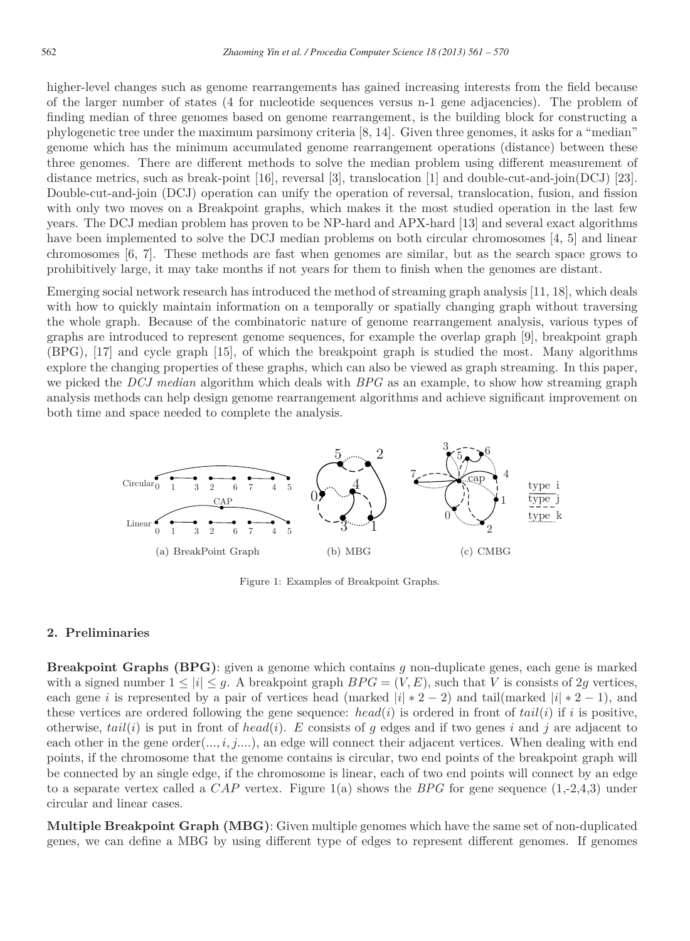higher-level changes such as genome rearrangements has gained increasing interests from the field because of the larger number of states (4 for nucleotide sequences versus n-1 gene adjacencies). The problem of finding median of three genomes based on genome rearrangement, is the building block for constructing a phylogenetic tree under the maximum parsimony criteria [8, 14]. Given three genomes, it asks for a "median" genome which has the minimum accumulated genome rearrangement operations (distance) between these three genomes. There are different methods to solve the median problem using different measurement of distance metrics, such as break-point [16], reversal [3], translocation [1] and double-cut-and-join(DCJ) [23]. Double-cut-and-join (DCJ) operation can unify the operation of reversal, translocation, fusion, and fission with only two moves on a Breakpoint graphs, which makes it the most studied operation in the last few years. The DCJ median problem has proven to be NP-hard and APX-hard [13] and several exact algorithms have been implemented to solve the DCJ median problems on both circular chromosomes [4, 5] and linear chromosomes [6, 7]. These methods are fast when genomes are similar, but as the search space grows to prohibitively large, it may take months if not years for them to finish when the genomes are distant.

Emerging social network research has introduced the method of streaming graph analysis [11, 18], which deals with how to quickly maintain information on a temporally or spatially changing graph without traversing the whole graph. Because of the combinatoric nature of genome rearrangement analysis, various types of graphs are introduced to represent genome sequences, for example the overlap graph [9], breakpoint graph (BPG), [17] and cycle graph [15], of which the breakpoint graph is studied the most. Many algorithms explore the changing properties of these graphs, which can also be viewed as graph streaming. In this paper, we picked the *DCJ median* algorithm which deals with *BPG* as an example, to show how streaming graph analysis methods can help design genome rearrangement algorithms and achieve significant improvement on both time and space needed to complete the analysis.



Figure 1: Examples of Breakpoint Graphs.

#### **2. Preliminaries**

**Breakpoint Graphs (BPG)**: given a genome which contains *g* non-duplicate genes, each gene is marked with a signed number  $1 \leq |i| \leq g$ . A breakpoint graph  $BPG = (V, E)$ , such that *V* is consists of 2*g* vertices, each gene *i* is represented by a pair of vertices head (marked  $|i| * 2 - 2$ ) and tail(marked  $|i| * 2 - 1$ ), and these vertices are ordered following the gene sequence: *head*(*i*) is ordered in front of *tail*(*i*) if *i* is positive, otherwise,  $tail(i)$  is put in front of  $head(i)$ . *E* consists of *g* edges and if two genes *i* and *j* are adjacent to each other in the gene order $(..., i, j...),$  an edge will connect their adjacent vertices. When dealing with end points, if the chromosome that the genome contains is circular, two end points of the breakpoint graph will be connected by an single edge, if the chromosome is linear, each of two end points will connect by an edge to a separate vertex called a *CAP* vertex. Figure 1(a) shows the *BPG* for gene sequence (1,-2,4,3) under circular and linear cases.

**Multiple Breakpoint Graph (MBG)**: Given multiple genomes which have the same set of non-duplicated genes, we can define a MBG by using different type of edges to represent different genomes. If genomes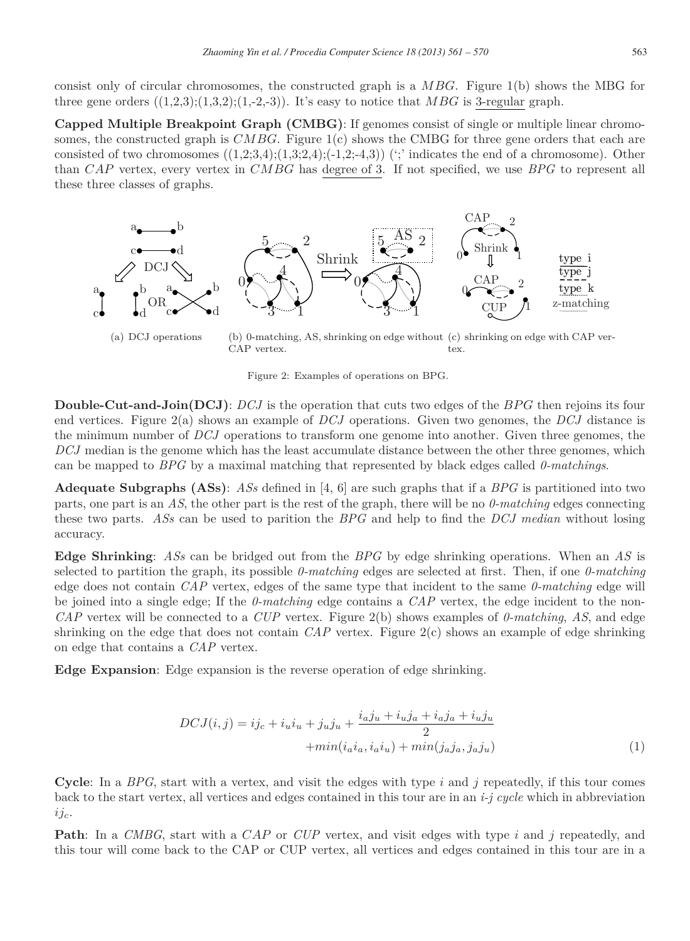consist only of circular chromosomes, the constructed graph is a *MBG*. Figure 1(b) shows the MBG for three gene orders  $((1,2,3);(1,3,2);(1,-2,-3))$ . It's easy to notice that *MBG* is 3-regular graph.

**Capped Multiple Breakpoint Graph (CMBG)**: If genomes consist of single or multiple linear chromosomes, the constructed graph is *CMBG*. Figure 1(c) shows the CMBG for three gene orders that each are consisted of two chromosomes  $((1,2;3,4);(1,3;2,4);(-1,2;-4,3))$  (';' indicates the end of a chromosome). Other than *CAP* vertex, every vertex in *CMBG* has degree of 3. If not specified, we use *BPG* to represent all these three classes of graphs.



(a) DCJ operations (b) 0-matching, AS, shrinking on edge without (c) shrinking on edge with CAP ver-CAP vertex. tex.

Figure 2: Examples of operations on BPG.

**Double-Cut-and-Join(DCJ)**: *DCJ* is the operation that cuts two edges of the *BPG* then rejoins its four end vertices. Figure 2(a) shows an example of *DCJ* operations. Given two genomes, the *DCJ* distance is the minimum number of *DCJ* operations to transform one genome into another. Given three genomes, the *DCJ* median is the genome which has the least accumulate distance between the other three genomes, which can be mapped to *BPG* by a maximal matching that represented by black edges called *0-matchings*.

**Adequate Subgraphs (ASs)**: *ASs* defined in [4, 6] are such graphs that if a *BPG* is partitioned into two parts, one part is an *AS*, the other part is the rest of the graph, there will be no *0-matching* edges connecting these two parts. *ASs* can be used to parition the *BPG* and help to find the *DCJ median* without losing accuracy.

**Edge Shrinking**: *ASs* can be bridged out from the *BPG* by edge shrinking operations. When an *AS* is selected to partition the graph, its possible *0-matching* edges are selected at first. Then, if one *0-matching* edge does not contain *CAP* vertex, edges of the same type that incident to the same *0-matching* edge will be joined into a single edge; If the *0-matching* edge contains a *CAP* vertex, the edge incident to the non-*CAP* vertex will be connected to a *CUP* vertex. Figure 2(b) shows examples of *0-matching*, *AS*, and edge shrinking on the edge that does not contain *CAP* vertex. Figure 2(c) shows an example of edge shrinking on edge that contains a *CAP* vertex.

**Edge Expansion**: Edge expansion is the reverse operation of edge shrinking.

$$
DCJ(i,j) = ij_c + i_u i_u + j_u j_u + \frac{i_a j_u + i_u j_a + i_a j_a + i_u j_u}{2}
$$
  
 
$$
+ min(i_a i_a, i_a i_u) + min(j_a j_a, j_a j_u)
$$
 (1)

**Cycle**: In a *BPG*, start with a vertex, and visit the edges with type *i* and *j* repeatedly, if this tour comes back to the start vertex, all vertices and edges contained in this tour are in an *i-j cycle* which in abbreviation  $i_j$ <sub>c</sub>.

**Path**: In a *CMBG*, start with a *CAP* or *CUP* vertex, and visit edges with type *i* and *j* repeatedly, and this tour will come back to the CAP or CUP vertex, all vertices and edges contained in this tour are in a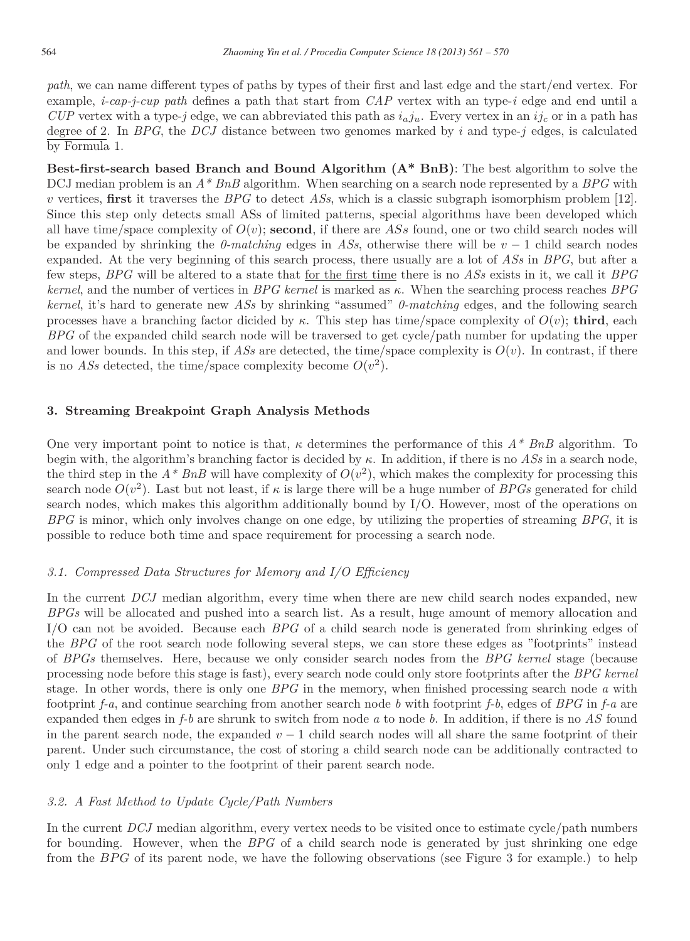*path*, we can name different types of paths by types of their first and last edge and the start/end vertex. For example, *i-cap-j-cup path* defines a path that start from *CAP* vertex with an type-*i* edge and end until a *CUP* vertex with a type-*j* edge, we can abbreviated this path as  $i_a j_u$ . Every vertex in an  $i j_c$  or in a path has degree of 2. In *BPG*, the *DCJ* distance between two genomes marked by *i* and type-*j* edges, is calculated by Formula 1.

**Best-first-search based Branch and Bound Algorithm (A\* BnB)**: The best algorithm to solve the DCJ median problem is an *A\* BnB* algorithm. When searching on a search node represented by a *BPG* with *v* vertices, **first** it traverses the *BPG* to detect *ASs*, which is a classic subgraph isomorphism problem [12]. Since this step only detects small ASs of limited patterns, special algorithms have been developed which all have time/space complexity of  $O(v)$ ; **second**, if there are *ASs* found, one or two child search nodes will be expanded by shrinking the *0-matching* edges in *ASs*, otherwise there will be *v* − 1 child search nodes expanded. At the very beginning of this search process, there usually are a lot of *ASs* in *BPG*, but after a few steps, *BPG* will be altered to a state that for the first time there is no *ASs* exists in it, we call it *BPG kernel*, and the number of vertices in *BPG kernel* is marked as *κ*. When the searching process reaches *BPG kernel*, it's hard to generate new *ASs* by shrinking "assumed" *0-matching* edges, and the following search processes have a branching factor dicided by  $\kappa$ . This step has time/space complexity of  $O(v)$ ; **third**, each *BPG* of the expanded child search node will be traversed to get cycle/path number for updating the upper and lower bounds. In this step, if  $ASs$  are detected, the time/space complexity is  $O(v)$ . In contrast, if there is no *ASs* detected, the time/space complexity become  $O(v^2)$ .

# **3. Streaming Breakpoint Graph Analysis Methods**

One very important point to notice is that, *κ* determines the performance of this *A\* BnB* algorithm. To begin with, the algorithm's branching factor is decided by *κ*. In addition, if there is no *ASs* in a search node, the third step in the  $A^* BnB$  will have complexity of  $O(v^2)$ , which makes the complexity for processing this search node  $O(v^2)$ . Last but not least, if  $\kappa$  is large there will be a huge number of *BPGs* generated for child search nodes, which makes this algorithm additionally bound by I/O. However, most of the operations on *BPG* is minor, which only involves change on one edge, by utilizing the properties of streaming *BPG*, it is possible to reduce both time and space requirement for processing a search node.

# *3.1. Compressed Data Structures for Memory and I/O Efficiency*

In the current *DCJ* median algorithm, every time when there are new child search nodes expanded, new *BPGs* will be allocated and pushed into a search list. As a result, huge amount of memory allocation and I/O can not be avoided. Because each *BPG* of a child search node is generated from shrinking edges of the *BPG* of the root search node following several steps, we can store these edges as "footprints" instead of *BPGs* themselves. Here, because we only consider search nodes from the *BPG kernel* stage (because processing node before this stage is fast), every search node could only store footprints after the *BPG kernel* stage. In other words, there is only one *BPG* in the memory, when finished processing search node *a* with footprint *f-a*, and continue searching from another search node *b* with footprint *f-b*, edges of *BPG* in *f-a* are expanded then edges in *f-b* are shrunk to switch from node *a* to node *b*. In addition, if there is no *AS* found in the parent search node, the expanded  $v - 1$  child search nodes will all share the same footprint of their parent. Under such circumstance, the cost of storing a child search node can be additionally contracted to only 1 edge and a pointer to the footprint of their parent search node.

#### *3.2. A Fast Method to Update Cycle/Path Numbers*

In the current *DCJ* median algorithm, every vertex needs to be visited once to estimate cycle/path numbers for bounding. However, when the *BPG* of a child search node is generated by just shrinking one edge from the *BPG* of its parent node, we have the following observations (see Figure 3 for example.) to help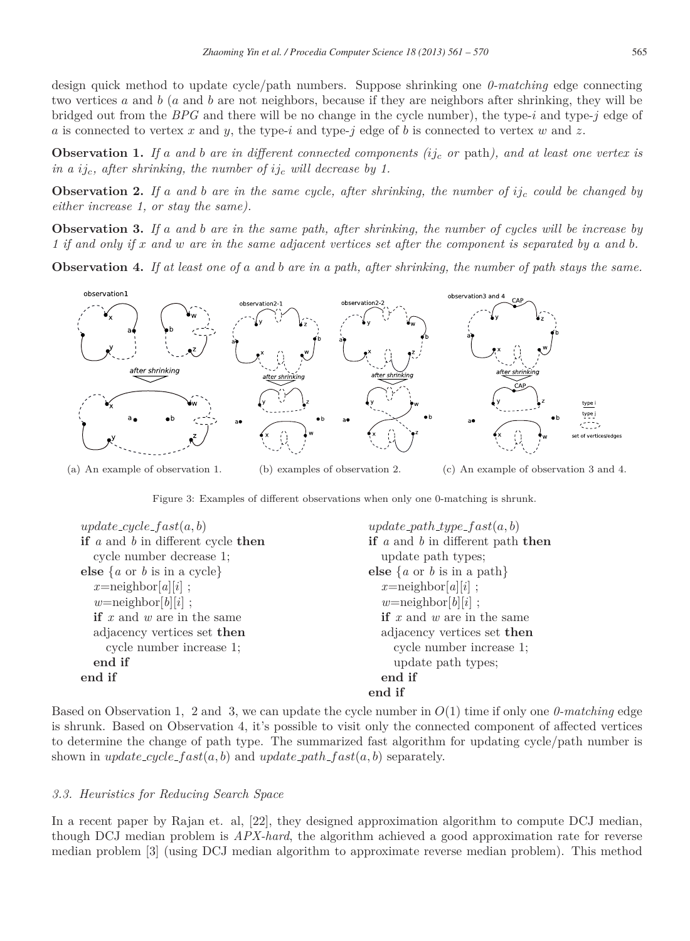design quick method to update cycle/path numbers. Suppose shrinking one *0-matching* edge connecting two vertices *a* and *b* (*a* and *b* are not neighbors, because if they are neighbors after shrinking, they will be bridged out from the *BPG* and there will be no change in the cycle number), the type-*i* and type-*j* edge of *a* is connected to vertex *x* and *y*, the type-*i* and type-*j* edge of *b* is connected to vertex *w* and *z*.

**Observation 1.** *If a and b are in different connected components (ij<sup>c</sup> or* path*), and at least one vertex is in a ijc, after shrinking, the number of ij<sup>c</sup> will decrease by 1.*

**Observation 2.** *If a and b are in the same cycle, after shrinking, the number of ij<sup>c</sup> could be changed by either increase 1, or stay the same).*

**Observation 3.** *If a and b are in the same path, after shrinking, the number of cycles will be increase by 1 if and only if x and w are in the same adjacent vertices set after the component is separated by a and b.*

**Observation 4.** *If at least one of a and b are in a path, after shrinking, the number of path stays the same.*



(a) An example of observation 1. (b) examples of observation 2. (c) An example of observation 3 and 4.

Figure 3: Examples of different observations when only one 0-matching is shrunk.

| $update\_cycle\_fast(a, b)$                       | $update\_path\_type\_fast(a, b)$                 |
|---------------------------------------------------|--------------------------------------------------|
| if $a$ and $b$ in different cycle then            | if $a$ and $b$ in different path then            |
| cycle number decrease 1;                          | update path types;                               |
| <b>else</b> { <i>a</i> or <i>b</i> is in a cycle} | <b>else</b> { <i>a</i> or <i>b</i> is in a path} |
| $x = \text{neighbor}[a][i]$ ;                     | $x = \text{neighbor}[a][i]$ ;                    |
| $w = \text{neighbor}[b][i]$ ;                     | $w = \text{neighbor}[b][i]$ ;                    |
| <b>if</b> x and w are in the same                 | <b>if</b> $x$ and $w$ are in the same            |
| adjacency vertices set then                       | adjacency vertices set then                      |
| cycle number increase 1;                          | cycle number increase 1;                         |
| end if                                            | update path types;                               |
| end if                                            | end if                                           |
|                                                   | end if                                           |

Based on Observation 1, 2 and 3, we can update the cycle number in *O*(1) time if only one *0-matching* edge is shrunk. Based on Observation 4, it's possible to visit only the connected component of affected vertices to determine the change of path type. The summarized fast algorithm for updating cycle/path number is shown in *update\_cycle\_fast*( $a, b$ ) and *update\_path\_fast*( $a, b$ ) separately.

#### *3.3. Heuristics for Reducing Search Space*

In a recent paper by Rajan et. al, [22], they designed approximation algorithm to compute DCJ median, though DCJ median problem is *APX-hard*, the algorithm achieved a good approximation rate for reverse median problem [3] (using DCJ median algorithm to approximate reverse median problem). This method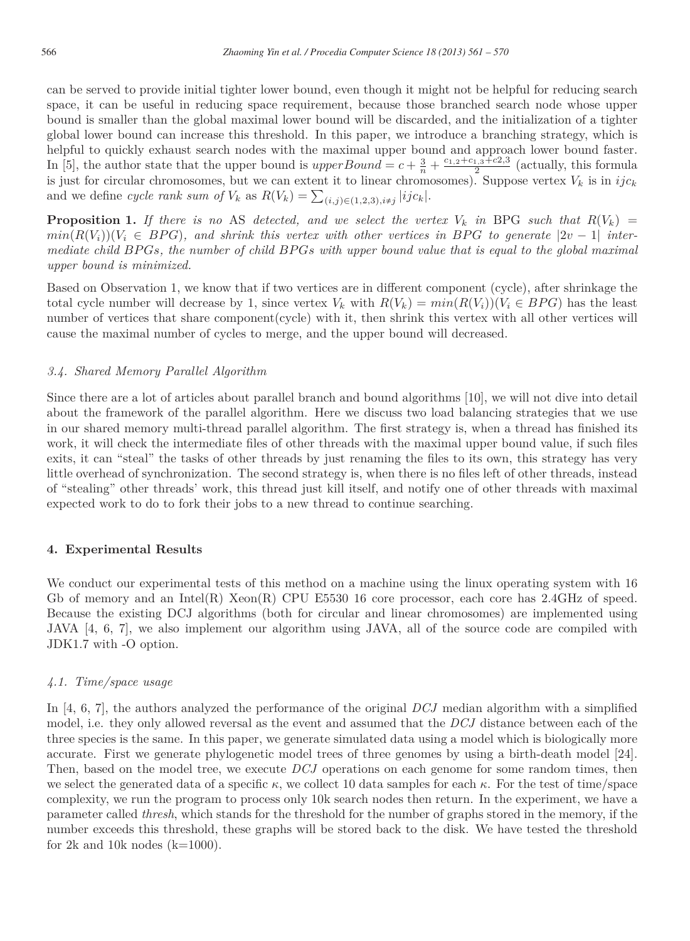can be served to provide initial tighter lower bound, even though it might not be helpful for reducing search space, it can be useful in reducing space requirement, because those branched search node whose upper bound is smaller than the global maximal lower bound will be discarded, and the initialization of a tighter global lower bound can increase this threshold. In this paper, we introduce a branching strategy, which is helpful to quickly exhaust search nodes with the maximal upper bound and approach lower bound faster. In [5], the author state that the upper bound is  $upperBound = c + \frac{3}{n} + \frac{c_{1,2}+c_{1,3}+c_{2,3}}{2}$  (actually, this formula is just for circular chromosomes, but we can extent it to linear chromosomes). Suppose vertex  $V_k$  is in  $ijc_k$ and we define *cycle rank sum of*  $V_k$  as  $R(V_k) = \sum_{(i,j) \in (1,2,3), i \neq j} |ijc_k|$ .

**Proposition 1.** If there is no AS detected, and we select the vertex  $V_k$  in BPG such that  $R(V_k)$  =  $min(R(V_i))(V_i \in BPG)$ , and shrink this vertex with other vertices in BPG to generate  $|2v - 1|$  inter*mediate child BP Gs, the number of child BP Gs with upper bound value that is equal to the global maximal upper bound is minimized.*

Based on Observation 1, we know that if two vertices are in different component (cycle), after shrinkage the total cycle number will decrease by 1, since vertex  $V_k$  with  $R(V_k) = min(R(V_i))(V_i \in BPG)$  has the least number of vertices that share component(cycle) with it, then shrink this vertex with all other vertices will cause the maximal number of cycles to merge, and the upper bound will decreased.

#### *3.4. Shared Memory Parallel Algorithm*

Since there are a lot of articles about parallel branch and bound algorithms [10], we will not dive into detail about the framework of the parallel algorithm. Here we discuss two load balancing strategies that we use in our shared memory multi-thread parallel algorithm. The first strategy is, when a thread has finished its work, it will check the intermediate files of other threads with the maximal upper bound value, if such files exits, it can "steal" the tasks of other threads by just renaming the files to its own, this strategy has very little overhead of synchronization. The second strategy is, when there is no files left of other threads, instead of "stealing" other threads' work, this thread just kill itself, and notify one of other threads with maximal expected work to do to fork their jobs to a new thread to continue searching.

#### **4. Experimental Results**

We conduct our experimental tests of this method on a machine using the linux operating system with 16 Gb of memory and an Intel(R)  $Xeon(R)$  CPU E5530 16 core processor, each core has 2.4GHz of speed. Because the existing DCJ algorithms (both for circular and linear chromosomes) are implemented using JAVA [4, 6, 7], we also implement our algorithm using JAVA, all of the source code are compiled with JDK1.7 with -O option.

#### *4.1. Time/space usage*

In [4, 6, 7], the authors analyzed the performance of the original *DCJ* median algorithm with a simplified model, i.e. they only allowed reversal as the event and assumed that the *DCJ* distance between each of the three species is the same. In this paper, we generate simulated data using a model which is biologically more accurate. First we generate phylogenetic model trees of three genomes by using a birth-death model [24]. Then, based on the model tree, we execute *DCJ* operations on each genome for some random times, then we select the generated data of a specific *κ*, we collect 10 data samples for each *κ*. For the test of time/space complexity, we run the program to process only 10k search nodes then return. In the experiment, we have a parameter called *thresh*, which stands for the threshold for the number of graphs stored in the memory, if the number exceeds this threshold, these graphs will be stored back to the disk. We have tested the threshold for 2k and 10k nodes  $(k=1000)$ .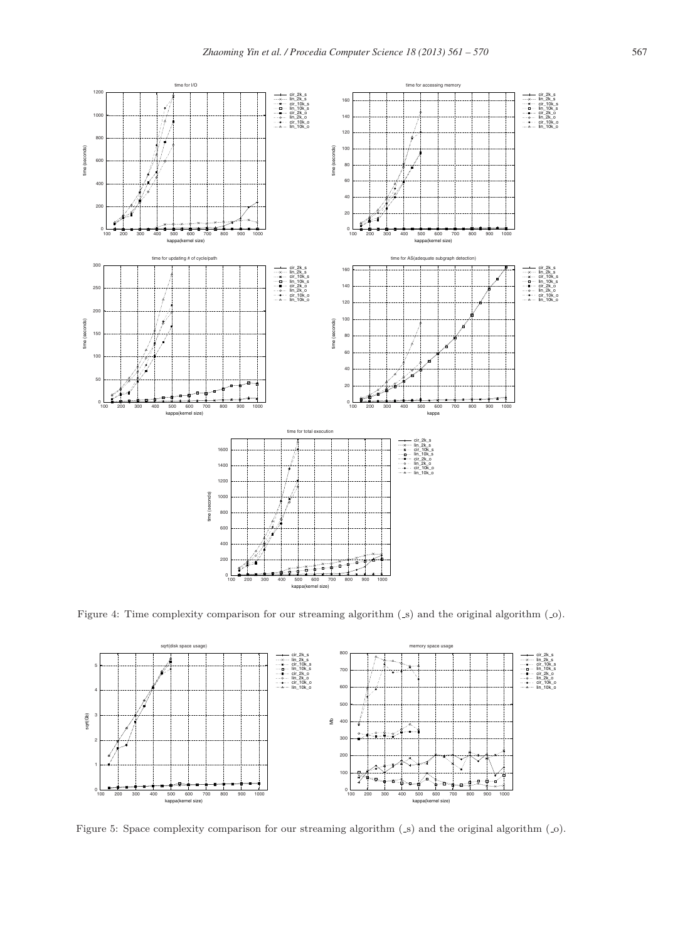

Figure 4: Time complexity comparison for our streaming algorithm  $(s)$  and the original algorithm  $(s)$ .



Figure 5: Space complexity comparison for our streaming algorithm  $(s)$  and the original algorithm  $(s)$ .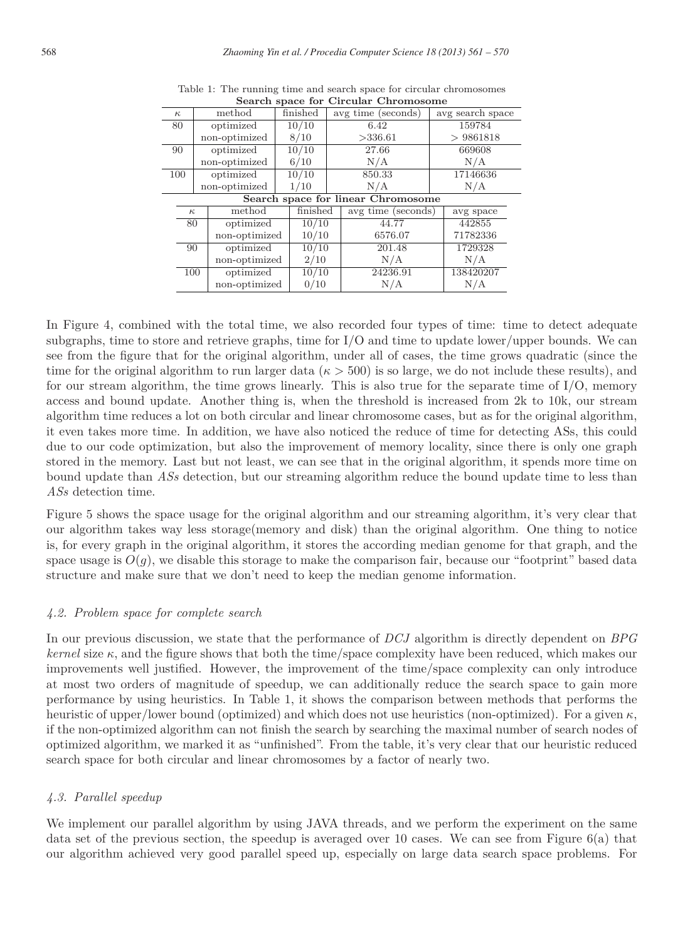|                                    | $\kappa$ |               | method        |       | finished        |     | avg time (seconds) |          | avg search space |  |
|------------------------------------|----------|---------------|---------------|-------|-----------------|-----|--------------------|----------|------------------|--|
|                                    | 80       |               | optimized     | 10/10 |                 |     | 6.42               |          | 159784           |  |
|                                    |          |               | non-optimized | 8/10  |                 |     | >336.61            |          | > 9861818        |  |
|                                    | 90       |               | optimized     |       | 10/10           |     | 27.66              |          | 669608           |  |
|                                    |          | non-optimized |               |       | 6/10            |     | N/A                |          | N/A              |  |
|                                    | 100      | optimized     |               |       | 10/10<br>850.33 |     |                    | 17146636 |                  |  |
|                                    |          |               | non-optimized |       | 1/10            | N/A |                    | N/A      |                  |  |
| Search space for linear Chromosome |          |               |               |       |                 |     |                    |          |                  |  |
|                                    | $\kappa$ | method        |               |       | finished        |     | avg time (seconds) |          | avg space        |  |
|                                    | 80       |               | optimized     | 10/10 |                 |     | 44.77              |          | 442855           |  |
|                                    |          |               | non-optimized | 10/10 |                 |     | 6576.07            |          | 71782336         |  |
|                                    | 90       |               | optimized     | 10/10 |                 |     | 201.48             |          | 1729328          |  |
|                                    |          |               | non-optimized |       | 2/10            |     | N/A                |          | N/A              |  |
|                                    | 100      |               | optimized     |       | 10/10           |     | 24236.91           |          | 138420207        |  |
|                                    |          | non-optimized |               |       | 0/10            |     | N/A                |          | N/A              |  |
|                                    |          |               |               |       |                 |     |                    |          |                  |  |

Table 1: The running time and search space for circular chromosomes **Search space for Circular Chromosome**

In Figure 4, combined with the total time, we also recorded four types of time: time to detect adequate subgraphs, time to store and retrieve graphs, time for I/O and time to update lower/upper bounds. We can see from the figure that for the original algorithm, under all of cases, the time grows quadratic (since the time for the original algorithm to run larger data (*κ >* 500) is so large, we do not include these results), and for our stream algorithm, the time grows linearly. This is also true for the separate time of  $I/O$ , memory access and bound update. Another thing is, when the threshold is increased from 2k to 10k, our stream algorithm time reduces a lot on both circular and linear chromosome cases, but as for the original algorithm, it even takes more time. In addition, we have also noticed the reduce of time for detecting ASs, this could due to our code optimization, but also the improvement of memory locality, since there is only one graph stored in the memory. Last but not least, we can see that in the original algorithm, it spends more time on bound update than *ASs* detection, but our streaming algorithm reduce the bound update time to less than *ASs* detection time.

Figure 5 shows the space usage for the original algorithm and our streaming algorithm, it's very clear that our algorithm takes way less storage(memory and disk) than the original algorithm. One thing to notice is, for every graph in the original algorithm, it stores the according median genome for that graph, and the space usage is  $O(q)$ , we disable this storage to make the comparison fair, because our "footprint" based data structure and make sure that we don't need to keep the median genome information.

#### *4.2. Problem space for complete search*

In our previous discussion, we state that the performance of *DCJ* algorithm is directly dependent on *BPG kernel* size *κ*, and the figure shows that both the time/space complexity have been reduced, which makes our improvements well justified. However, the improvement of the time/space complexity can only introduce at most two orders of magnitude of speedup, we can additionally reduce the search space to gain more performance by using heuristics. In Table 1, it shows the comparison between methods that performs the heuristic of upper/lower bound (optimized) and which does not use heuristics (non-optimized). For a given *κ*, if the non-optimized algorithm can not finish the search by searching the maximal number of search nodes of optimized algorithm, we marked it as "unfinished". From the table, it's very clear that our heuristic reduced search space for both circular and linear chromosomes by a factor of nearly two.

# *4.3. Parallel speedup*

We implement our parallel algorithm by using JAVA threads, and we perform the experiment on the same data set of the previous section, the speedup is averaged over 10 cases. We can see from Figure 6(a) that our algorithm achieved very good parallel speed up, especially on large data search space problems. For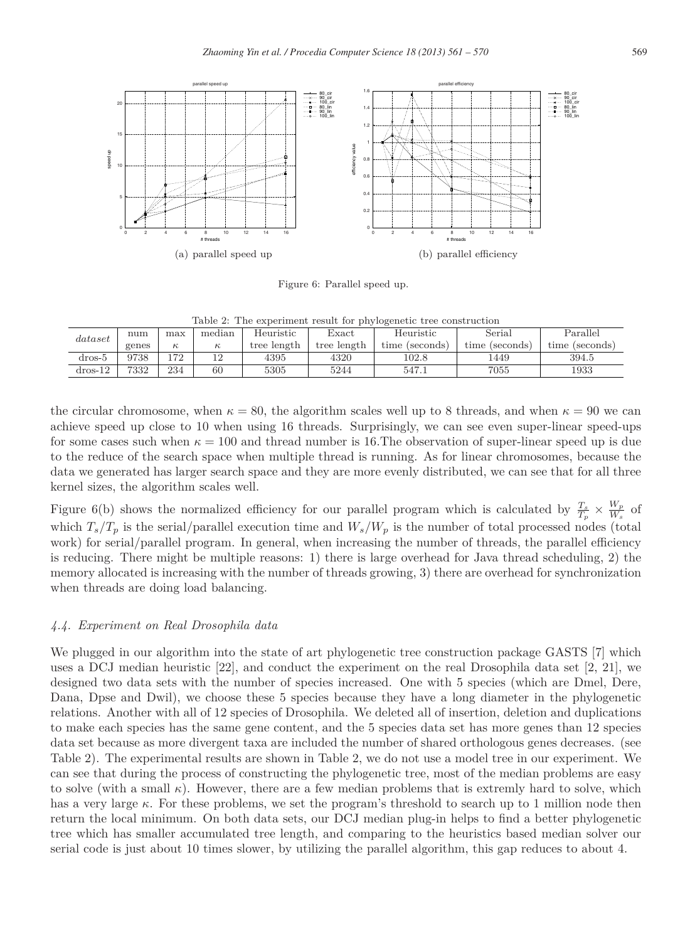

Figure 6: Parallel speed up.

| Table 2: The experiment result for phylogenetic tree construction |  |  |  |
|-------------------------------------------------------------------|--|--|--|
|-------------------------------------------------------------------|--|--|--|

| data set               | num   | max | median | Heuristic   | $\text{Exact}$ | Heuristic      | Serial         | Parallel       |  |  |  |
|------------------------|-------|-----|--------|-------------|----------------|----------------|----------------|----------------|--|--|--|
|                        | genes | к   | κ      | tree length | tree length    | time (seconds) | time (seconds) | time (seconds) |  |  |  |
| $\frac{dros-5}{d}$     | 9738  | 79  | ി      | 4395        | 4320           | 102.8          | 1449           | 394.5          |  |  |  |
| $\frac{dros-12}{dsc}}$ | 7332  | 234 | 60     | 5305        | 5244           | 547.1          | 7055           | 1933           |  |  |  |

the circular chromosome, when  $\kappa = 80$ , the algorithm scales well up to 8 threads, and when  $\kappa = 90$  we can achieve speed up close to 10 when using 16 threads. Surprisingly, we can see even super-linear speed-ups for some cases such when  $\kappa = 100$  and thread number is 16. The observation of super-linear speed up is due to the reduce of the search space when multiple thread is running. As for linear chromosomes, because the data we generated has larger search space and they are more evenly distributed, we can see that for all three kernel sizes, the algorithm scales well.

Figure 6(b) shows the normalized efficiency for our parallel program which is calculated by  $\frac{T_s}{T_p} \times \frac{W_p}{W_s}$  of which  $T_s/T_p$  is the serial/parallel execution time and  $W_s/W_p$  is the number of total processed nodes (total work) for serial/parallel program. In general, when increasing the number of threads, the parallel efficiency is reducing. There might be multiple reasons: 1) there is large overhead for Java thread scheduling, 2) the memory allocated is increasing with the number of threads growing, 3) there are overhead for synchronization when threads are doing load balancing.

## *4.4. Experiment on Real Drosophila data*

We plugged in our algorithm into the state of art phylogenetic tree construction package GASTS [7] which uses a DCJ median heuristic [22], and conduct the experiment on the real Drosophila data set [2, 21], we designed two data sets with the number of species increased. One with 5 species (which are Dmel, Dere, Dana, Dpse and Dwil), we choose these 5 species because they have a long diameter in the phylogenetic relations. Another with all of 12 species of Drosophila. We deleted all of insertion, deletion and duplications to make each species has the same gene content, and the 5 species data set has more genes than 12 species data set because as more divergent taxa are included the number of shared orthologous genes decreases. (see Table 2). The experimental results are shown in Table 2, we do not use a model tree in our experiment. We can see that during the process of constructing the phylogenetic tree, most of the median problems are easy to solve (with a small *κ*). However, there are a few median problems that is extremly hard to solve, which has a very large *κ*. For these problems, we set the program's threshold to search up to 1 million node then return the local minimum. On both data sets, our DCJ median plug-in helps to find a better phylogenetic tree which has smaller accumulated tree length, and comparing to the heuristics based median solver our serial code is just about 10 times slower, by utilizing the parallel algorithm, this gap reduces to about 4.